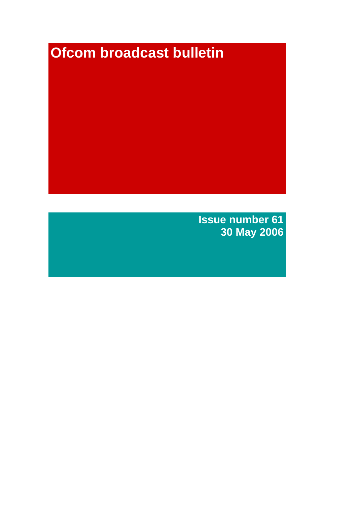# **Ofcom broadcast bulletin**

**Issue number 61 30 May 2006**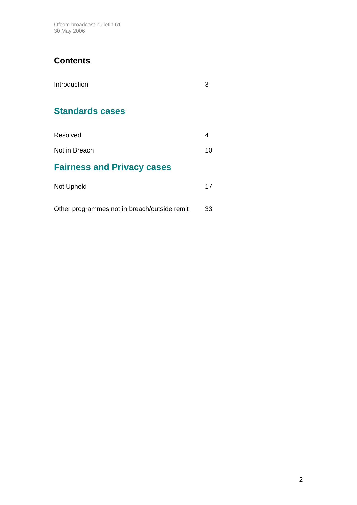Ofcom broadcast bulletin 61 30 May 2006

# **Contents**

| Introduction                                 |    |
|----------------------------------------------|----|
| <b>Standards cases</b>                       |    |
| Resolved                                     | 4  |
| Not in Breach                                | 10 |
| <b>Fairness and Privacy cases</b>            |    |
| Not Upheld                                   | 17 |
| Other programmes not in breach/outside remit | 33 |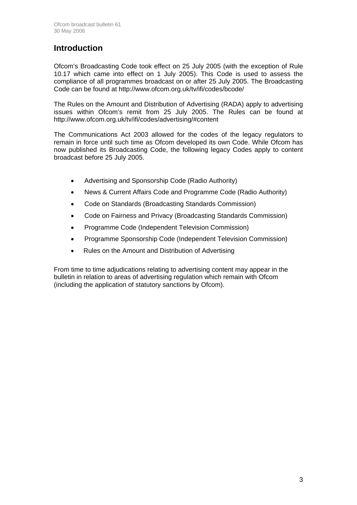# **Introduction**

Ofcom's Broadcasting Code took effect on 25 July 2005 (with the exception of Rule 10.17 which came into effect on 1 July 2005). This Code is used to assess the compliance of all programmes broadcast on or after 25 July 2005. The Broadcasting Code can be found at http://www.ofcom.org.uk/tv/ifi/codes/bcode/

The Rules on the Amount and Distribution of Advertising (RADA) apply to advertising issues within Ofcom's remit from 25 July 2005. The Rules can be found at http://www.ofcom.org.uk/tv/ifi/codes/advertising/#content

The Communications Act 2003 allowed for the codes of the legacy regulators to remain in force until such time as Ofcom developed its own Code. While Ofcom has now published its Broadcasting Code, the following legacy Codes apply to content broadcast before 25 July 2005.

- Advertising and Sponsorship Code (Radio Authority)
- News & Current Affairs Code and Programme Code (Radio Authority)
- Code on Standards (Broadcasting Standards Commission)
- Code on Fairness and Privacy (Broadcasting Standards Commission)
- Programme Code (Independent Television Commission)
- Programme Sponsorship Code (Independent Television Commission)
- Rules on the Amount and Distribution of Advertising

From time to time adjudications relating to advertising content may appear in the bulletin in relation to areas of advertising regulation which remain with Ofcom (including the application of statutory sanctions by Ofcom).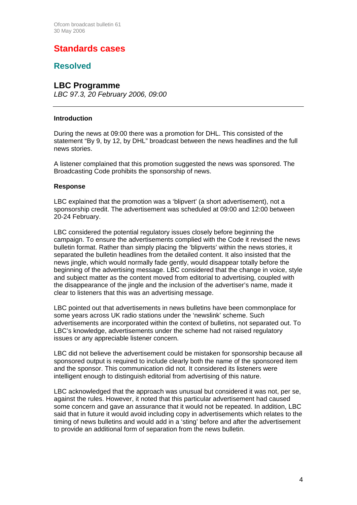# **Standards cases**

### **Resolved**

### **LBC Programme**

*LBC 97.3, 20 February 2006, 09:00*

### **Introduction**

During the news at 09:00 there was a promotion for DHL. This consisted of the statement "By 9, by 12, by DHL" broadcast between the news headlines and the full news stories.

A listener complained that this promotion suggested the news was sponsored. The Broadcasting Code prohibits the sponsorship of news.

### **Response**

LBC explained that the promotion was a 'blipvert' (a short advertisement), not a sponsorship credit. The advertisement was scheduled at 09:00 and 12:00 between 20-24 February.

LBC considered the potential regulatory issues closely before beginning the campaign. To ensure the advertisements complied with the Code it revised the news bulletin format. Rather than simply placing the 'blipverts' within the news stories, it separated the bulletin headlines from the detailed content. It also insisted that the news jingle, which would normally fade gently, would disappear totally before the beginning of the advertising message. LBC considered that the change in voice, style and subject matter as the content moved from editorial to advertising, coupled with the disappearance of the jingle and the inclusion of the advertiser's name, made it clear to listeners that this was an advertising message.

LBC pointed out that advertisements in news bulletins have been commonplace for some years across UK radio stations under the 'newslink' scheme. Such advertisements are incorporated within the context of bulletins, not separated out. To LBC's knowledge, advertisements under the scheme had not raised regulatory issues or any appreciable listener concern.

LBC did not believe the advertisement could be mistaken for sponsorship because all sponsored output is required to include clearly both the name of the sponsored item and the sponsor. This communication did not. It considered its listeners were intelligent enough to distinguish editorial from advertising of this nature.

LBC acknowledged that the approach was unusual but considered it was not, per se, against the rules. However, it noted that this particular advertisement had caused some concern and gave an assurance that it would not be repeated. In addition, LBC said that in future it would avoid including copy in advertisements which relates to the timing of news bulletins and would add in a 'sting' before and after the advertisement to provide an additional form of separation from the news bulletin.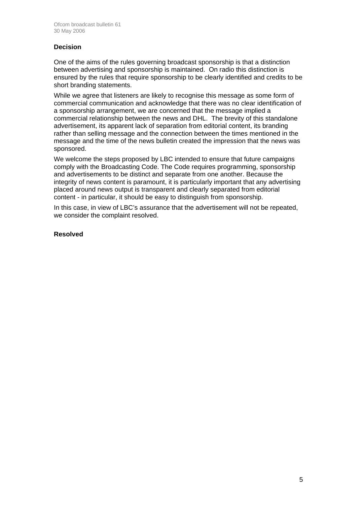### **Decision**

One of the aims of the rules governing broadcast sponsorship is that a distinction between advertising and sponsorship is maintained. On radio this distinction is ensured by the rules that require sponsorship to be clearly identified and credits to be short branding statements.

While we agree that listeners are likely to recognise this message as some form of commercial communication and acknowledge that there was no clear identification of a sponsorship arrangement, we are concerned that the message implied a commercial relationship between the news and DHL. The brevity of this standalone advertisement, its apparent lack of separation from editorial content, its branding rather than selling message and the connection between the times mentioned in the message and the time of the news bulletin created the impression that the news was sponsored.

We welcome the steps proposed by LBC intended to ensure that future campaigns comply with the Broadcasting Code. The Code requires programming, sponsorship and advertisements to be distinct and separate from one another. Because the integrity of news content is paramount, it is particularly important that any advertising placed around news output is transparent and clearly separated from editorial content - in particular, it should be easy to distinguish from sponsorship.

In this case, in view of LBC's assurance that the advertisement will not be repeated, we consider the complaint resolved.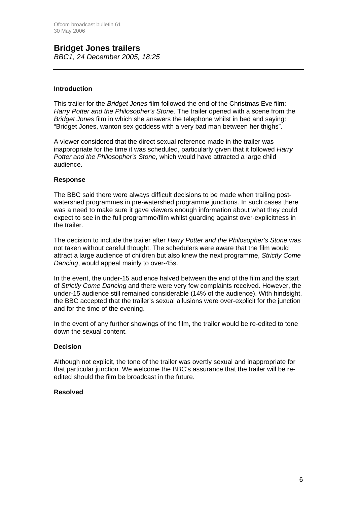### **Bridget Jones trailers**  *BBC1, 24 December 2005, 18:25*

### **Introduction**

This trailer for the *Bridget Jones* film followed the end of the Christmas Eve film: *Harry Potter and the Philosopher's Stone*. The trailer opened with a scene from the *Bridget Jones* film in which she answers the telephone whilst in bed and saying: "Bridget Jones, wanton sex goddess with a very bad man between her thighs".

A viewer considered that the direct sexual reference made in the trailer was inappropriate for the time it was scheduled, particularly given that it followed *Harry Potter and the Philosopher's Stone*, which would have attracted a large child audience.

### **Response**

The BBC said there were always difficult decisions to be made when trailing postwatershed programmes in pre-watershed programme junctions. In such cases there was a need to make sure it gave viewers enough information about what they could expect to see in the full programme/film whilst guarding against over-explicitness in the trailer.

The decision to include the trailer after *Harry Potter and the Philosopher's Stone* was not taken without careful thought. The schedulers were aware that the film would attract a large audience of children but also knew the next programme, *Strictly Come Dancing*, would appeal mainly to over-45s.

In the event, the under-15 audience halved between the end of the film and the start of *Strictly Come Dancing* and there were very few complaints received. However, the under-15 audience still remained considerable (14% of the audience). With hindsight, the BBC accepted that the trailer's sexual allusions were over-explicit for the junction and for the time of the evening.

In the event of any further showings of the film, the trailer would be re-edited to tone down the sexual content.

### **Decision**

Although not explicit, the tone of the trailer was overtly sexual and inappropriate for that particular junction. We welcome the BBC's assurance that the trailer will be reedited should the film be broadcast in the future.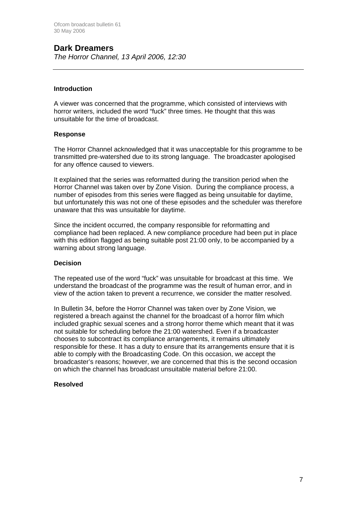# **Dark Dreamers**

*The Horror Channel, 13 April 2006, 12:30*

### **Introduction**

A viewer was concerned that the programme, which consisted of interviews with horror writers, included the word "fuck" three times. He thought that this was unsuitable for the time of broadcast.

### **Response**

The Horror Channel acknowledged that it was unacceptable for this programme to be transmitted pre-watershed due to its strong language. The broadcaster apologised for any offence caused to viewers.

It explained that the series was reformatted during the transition period when the Horror Channel was taken over by Zone Vision. During the compliance process, a number of episodes from this series were flagged as being unsuitable for daytime. but unfortunately this was not one of these episodes and the scheduler was therefore unaware that this was unsuitable for daytime.

Since the incident occurred, the company responsible for reformatting and compliance had been replaced. A new compliance procedure had been put in place with this edition flagged as being suitable post 21:00 only, to be accompanied by a warning about strong language.

#### **Decision**

The repeated use of the word "fuck" was unsuitable for broadcast at this time. We understand the broadcast of the programme was the result of human error, and in view of the action taken to prevent a recurrence, we consider the matter resolved.

In Bulletin 34, before the Horror Channel was taken over by Zone Vision, we registered a breach against the channel for the broadcast of a horror film which included graphic sexual scenes and a strong horror theme which meant that it was not suitable for scheduling before the 21:00 watershed. Even if a broadcaster chooses to subcontract its compliance arrangements, it remains ultimately responsible for these. It has a duty to ensure that its arrangements ensure that it is able to comply with the Broadcasting Code. On this occasion, we accept the broadcaster's reasons; however, we are concerned that this is the second occasion on which the channel has broadcast unsuitable material before 21:00.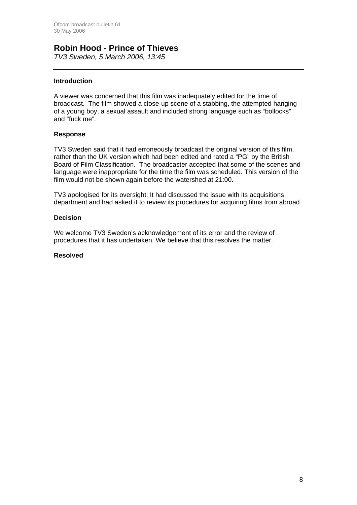### **Robin Hood - Prince of Thieves**

*TV3 Sweden, 5 March 2006, 13:45* 

### **Introduction**

A viewer was concerned that this film was inadequately edited for the time of broadcast. The film showed a close-up scene of a stabbing, the attempted hanging of a young boy, a sexual assault and included strong language such as "bollocks" and "fuck me".

### **Response**

TV3 Sweden said that it had erroneously broadcast the original version of this film, rather than the UK version which had been edited and rated a "PG" by the British Board of Film Classification. The broadcaster accepted that some of the scenes and language were inappropriate for the time the film was scheduled. This version of the film would not be shown again before the watershed at 21:00.

TV3 apologised for its oversight. It had discussed the issue with its acquisitions department and had asked it to review its procedures for acquiring films from abroad.

### **Decision**

We welcome TV3 Sweden's acknowledgement of its error and the review of procedures that it has undertaken. We believe that this resolves the matter.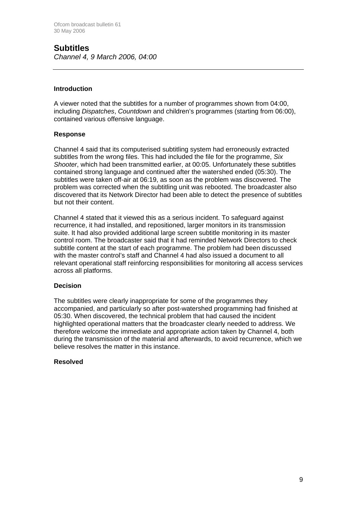### **Subtitles**  *Channel 4, 9 March 2006, 04:00*

### **Introduction**

A viewer noted that the subtitles for a number of programmes shown from 04:00, including *Dispatches*, *Countdown* and children's programmes (starting from 06:00), contained various offensive language.

### **Response**

Channel 4 said that its computerised subtitling system had erroneously extracted subtitles from the wrong files. This had included the file for the programme, *Six Shooter*, which had been transmitted earlier, at 00:05. Unfortunately these subtitles contained strong language and continued after the watershed ended (05:30). The subtitles were taken off-air at 06:19, as soon as the problem was discovered. The problem was corrected when the subtitling unit was rebooted. The broadcaster also discovered that its Network Director had been able to detect the presence of subtitles but not their content.

Channel 4 stated that it viewed this as a serious incident. To safeguard against recurrence, it had installed, and repositioned, larger monitors in its transmission suite. It had also provided additional large screen subtitle monitoring in its master control room. The broadcaster said that it had reminded Network Directors to check subtitle content at the start of each programme. The problem had been discussed with the master control's staff and Channel 4 had also issued a document to all relevant operational staff reinforcing responsibilities for monitoring all access services across all platforms.

### **Decision**

The subtitles were clearly inappropriate for some of the programmes they accompanied, and particularly so after post-watershed programming had finished at 05:30. When discovered, the technical problem that had caused the incident highlighted operational matters that the broadcaster clearly needed to address. We therefore welcome the immediate and appropriate action taken by Channel 4, both during the transmission of the material and afterwards, to avoid recurrence, which we believe resolves the matter in this instance.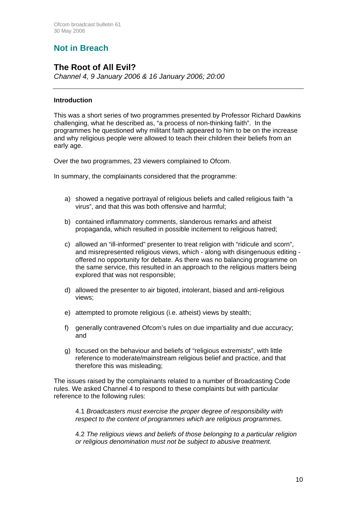# **Not in Breach**

### **The Root of All Evil?**

*Channel 4, 9 January 2006 & 16 January 2006; 20:00*

### **Introduction**

This was a short series of two programmes presented by Professor Richard Dawkins challenging, what he described as, "a process of non-thinking faith". In the programmes he questioned why militant faith appeared to him to be on the increase and why religious people were allowed to teach their children their beliefs from an early age.

Over the two programmes, 23 viewers complained to Ofcom.

In summary, the complainants considered that the programme:

- a) showed a negative portrayal of religious beliefs and called religious faith "a virus", and that this was both offensive and harmful;
- b) contained inflammatory comments, slanderous remarks and atheist propaganda, which resulted in possible incitement to religious hatred;
- c) allowed an "ill-informed" presenter to treat religion with "ridicule and scorn", and misrepresented religious views, which - along with disingenuous editing offered no opportunity for debate. As there was no balancing programme on the same service, this resulted in an approach to the religious matters being explored that was not responsible;
- d) allowed the presenter to air bigoted, intolerant, biased and anti-religious views;
- e) attempted to promote religious (i.e. atheist) views by stealth;
- f) generally contravened Ofcom's rules on due impartiality and due accuracy; and
- g) focused on the behaviour and beliefs of "religious extremists", with little reference to moderate/mainstream religious belief and practice, and that therefore this was misleading;

The issues raised by the complainants related to a number of Broadcasting Code rules. We asked Channel 4 to respond to these complaints but with particular reference to the following rules:

4.1 *Broadcasters must exercise the proper degree of responsibility with respect to the content of programmes which are religious programmes.*

4.2 *The religious views and beliefs of those belonging to a particular religion or religious denomination must not be subject to abusive treatment.*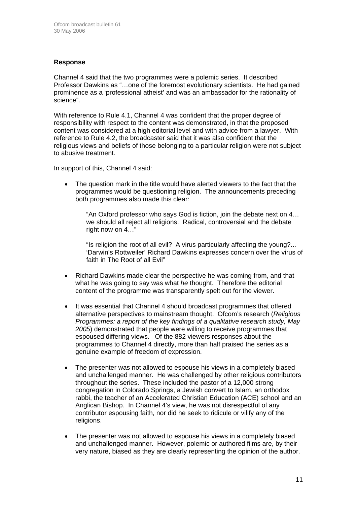### **Response**

Channel 4 said that the two programmes were a polemic series. It described Professor Dawkins as "…one of the foremost evolutionary scientists. He had gained prominence as a 'professional atheist' and was an ambassador for the rationality of science".

With reference to Rule 4.1, Channel 4 was confident that the proper degree of responsibility with respect to the content was demonstrated, in that the proposed content was considered at a high editorial level and with advice from a lawyer. With reference to Rule 4.2, the broadcaster said that it was also confident that the religious views and beliefs of those belonging to a particular religion were not subject to abusive treatment.

In support of this, Channel 4 said:

• The question mark in the title would have alerted viewers to the fact that the programmes would be questioning religion. The announcements preceding both programmes also made this clear:

"An Oxford professor who says God is fiction, join the debate next on 4… we should all reject all religions. Radical, controversial and the debate right now on 4…"

"Is religion the root of all evil? A virus particularly affecting the young?... 'Darwin's Rottweiler' Richard Dawkins expresses concern over the virus of faith in The Root of all Evil"

- Richard Dawkins made clear the perspective he was coming from, and that what he was going to say was what *he* thought. Therefore the editorial content of the programme was transparently spelt out for the viewer.
- It was essential that Channel 4 should broadcast programmes that offered alternative perspectives to mainstream thought. Ofcom's research (*Religious Programmes: a report of the key findings of a qualitative research study, May 2005*) demonstrated that people were willing to receive programmes that espoused differing views. Of the 882 viewers responses about the programmes to Channel 4 directly, more than half praised the series as a genuine example of freedom of expression.
- The presenter was not allowed to espouse his views in a completely biased and unchallenged manner. He was challenged by other religious contributors throughout the series. These included the pastor of a 12,000 strong congregation in Colorado Springs, a Jewish convert to Islam, an orthodox rabbi, the teacher of an Accelerated Christian Education (ACE) school and an Anglican Bishop. In Channel 4's view, he was not disrespectful of any contributor espousing faith, nor did he seek to ridicule or vilify any of the religions.
- The presenter was not allowed to espouse his views in a completely biased and unchallenged manner. However, polemic or authored films are, by their very nature, biased as they are clearly representing the opinion of the author.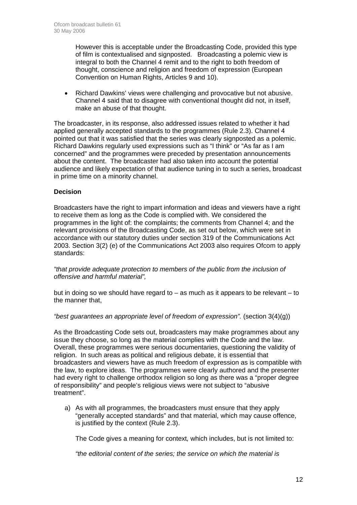However this is acceptable under the Broadcasting Code, provided this type of film is contextualised and signposted. Broadcasting a polemic view is integral to both the Channel 4 remit and to the right to both freedom of thought, conscience and religion and freedom of expression (European Convention on Human Rights, Articles 9 and 10).

• Richard Dawkins' views were challenging and provocative but not abusive. Channel 4 said that to disagree with conventional thought did not, in itself, make an abuse of that thought.

The broadcaster, in its response, also addressed issues related to whether it had applied generally accepted standards to the programmes (Rule 2.3). Channel 4 pointed out that it was satisfied that the series was clearly signposted as a polemic. Richard Dawkins regularly used expressions such as "I think" or "As far as I am concerned" and the programmes were preceded by presentation announcements about the content. The broadcaster had also taken into account the potential audience and likely expectation of that audience tuning in to such a series, broadcast in prime time on a minority channel.

### **Decision**

Broadcasters have the right to impart information and ideas and viewers have a right to receive them as long as the Code is complied with. We considered the programmes in the light of: the complaints; the comments from Channel 4; and the relevant provisions of the Broadcasting Code, as set out below, which were set in accordance with our statutory duties under section 319 of the Communications Act 2003. Section 3(2) (e) of the Communications Act 2003 also requires Ofcom to apply standards:

*"that provide adequate protection to members of the public from the inclusion of offensive and harmful material",*

but in doing so we should have regard to – as much as it appears to be relevant – to the manner that,

*"best guarantees an appropriate level of freedom of expression".* (section 3(4)(g))

As the Broadcasting Code sets out, broadcasters may make programmes about any issue they choose, so long as the material complies with the Code and the law. Overall, these programmes were serious documentaries, questioning the validity of religion. In such areas as political and religious debate, it is essential that broadcasters and viewers have as much freedom of expression as is compatible with the law, to explore ideas. The programmes were clearly authored and the presenter had every right to challenge orthodox religion so long as there was a "proper degree of responsibility" and people's religious views were not subject to "abusive treatment".

a) As with all programmes, the broadcasters must ensure that they apply "generally accepted standards" and that material, which may cause offence, is justified by the context (Rule 2.3).

The Code gives a meaning for context*,* which includes, but is not limited to:

*"the editorial content of the series; the service on which the material is*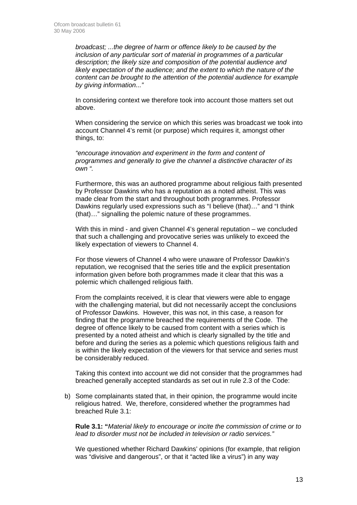*broadcast; ...the degree of harm or offence likely to be caused by the inclusion of any particular sort of material in programmes of a particular description; the likely size and composition of the potential audience and likely expectation of the audience; and the extent to which the nature of the content can be brought to the attention of the potential audience for example by giving information..."* 

In considering context we therefore took into account those matters set out above.

When considering the service on which this series was broadcast we took into account Channel 4's remit (or purpose) which requires it, amongst other things, to:

*"encourage innovation and experiment in the form and content of programmes and generally to give the channel a distinctive character of its own ".* 

Furthermore, this was an authored programme about religious faith presented by Professor Dawkins who has a reputation as a noted atheist. This was made clear from the start and throughout both programmes. Professor Dawkins regularly used expressions such as "I believe (that)…" and "I think (that)…" signalling the polemic nature of these programmes.

With this in mind - and given Channel 4's general reputation – we concluded that such a challenging and provocative series was unlikely to exceed the likely expectation of viewers to Channel 4.

For those viewers of Channel 4 who were unaware of Professor Dawkin's reputation, we recognised that the series title and the explicit presentation information given before both programmes made it clear that this was a polemic which challenged religious faith.

From the complaints received, it is clear that viewers were able to engage with the challenging material, but did not necessarily accept the conclusions of Professor Dawkins. However, this was not, in this case, a reason for finding that the programme breached the requirements of the Code. The degree of offence likely to be caused from content with a series which is presented by a noted atheist and which is clearly signalled by the title and before and during the series as a polemic which questions religious faith and is within the likely expectation of the viewers for that service and series must be considerably reduced.

Taking this context into account we did not consider that the programmes had breached generally accepted standards as set out in rule 2.3 of the Code:

b) Some complainants stated that, in their opinion, the programme would incite religious hatred. We, therefore, considered whether the programmes had breached Rule 3.1:

**Rule 3.1: "***Material likely to encourage or incite the commission of crime or to lead to disorder must not be included in television or radio services."* 

We questioned whether Richard Dawkins' opinions (for example, that religion was "divisive and dangerous", or that it "acted like a virus") in any way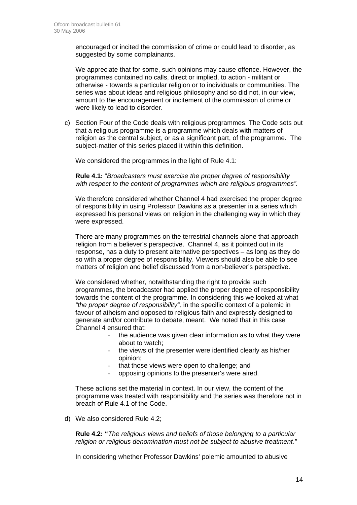encouraged or incited the commission of crime or could lead to disorder, as suggested by some complainants.

We appreciate that for some, such opinions may cause offence. However, the programmes contained no calls, direct or implied, to action - militant or otherwise - towards a particular religion or to individuals or communities. The series was about ideas and religious philosophy and so did not, in our view, amount to the encouragement or incitement of the commission of crime or were likely to lead to disorder.

c) Section Four of the Code deals with religious programmes. The Code sets out that a religious programme is a programme which deals with matters of religion as the central subject, or as a significant part, of the programme. The subject-matter of this series placed it within this definition.

We considered the programmes in the light of Rule 4.1:

**Rule 4.1:** "*Broadcasters must exercise the proper degree of responsibility with respect to the content of programmes which are religious programmes".* 

We therefore considered whether Channel 4 had exercised the proper degree of responsibility in using Professor Dawkins as a presenter in a series which expressed his personal views on religion in the challenging way in which they were expressed.

There are many programmes on the terrestrial channels alone that approach religion from a believer's perspective. Channel 4, as it pointed out in its response, has a duty to present alternative perspectives – as long as they do so with a proper degree of responsibility. Viewers should also be able to see matters of religion and belief discussed from a non-believer's perspective.

We considered whether, notwithstanding the right to provide such programmes, the broadcaster had applied the proper degree of responsibility towards the content of the programme. In considering this we looked at what *"the proper degree of responsibility",* in the specific context of a polemic in favour of atheism and opposed to religious faith and expressly designed to generate and/or contribute to debate, meant. We noted that in this case Channel 4 ensured that:

- the audience was given clear information as to what they were about to watch;
- the views of the presenter were identified clearly as his/her opinion;
- that those views were open to challenge; and
- opposing opinions to the presenter's were aired.

These actions set the material in context. In our view, the content of the programme was treated with responsibility and the series was therefore not in breach of Rule 4.1 of the Code.

d) We also considered Rule 4.2;

**Rule 4.2: "***The religious views and beliefs of those belonging to a particular religion or religious denomination must not be subject to abusive treatment."* 

In considering whether Professor Dawkins' polemic amounted to abusive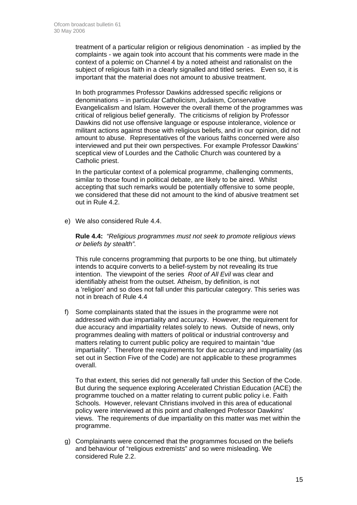treatment of a particular religion or religious denomination - as implied by the complaints - we again took into account that his comments were made in the context of a polemic on Channel 4 by a noted atheist and rationalist on the subject of religious faith in a clearly signalled and titled series. Even so, it is important that the material does not amount to abusive treatment.

In both programmes Professor Dawkins addressed specific religions or denominations – in particular Catholicism, Judaism, Conservative Evangelicalism and Islam. However the overall theme of the programmes was critical of religious belief generally. The criticisms of religion by Professor Dawkins did not use offensive language or espouse intolerance, violence or militant actions against those with religious beliefs, and in our opinion, did not amount to abuse. Representatives of the various faiths concerned were also interviewed and put their own perspectives. For example Professor Dawkins' sceptical view of Lourdes and the Catholic Church was countered by a Catholic priest.

In the particular context of a polemical programme, challenging comments, similar to those found in political debate, are likely to be aired. Whilst accepting that such remarks would be potentially offensive to some people, we considered that these did not amount to the kind of abusive treatment set out in Rule 4.2.

e) We also considered Rule 4.4.

**Rule 4.4:** *"Religious programmes must not seek to promote religious views or beliefs by stealth".* 

This rule concerns programming that purports to be one thing, but ultimately intends to acquire converts to a belief-system by not revealing its true intention. The viewpoint of the series *Root of All Evil* was clear and identifiably atheist from the outset. Atheism, by definition, is not a 'religion' and so does not fall under this particular category. This series was not in breach of Rule 4.4

f) Some complainants stated that the issues in the programme were not addressed with due impartiality and accuracy. However, the requirement for due accuracy and impartiality relates solely to news. Outside of news, only programmes dealing with matters of political or industrial controversy and matters relating to current public policy are required to maintain "due impartiality". Therefore the requirements for due accuracy and impartiality (as set out in Section Five of the Code) are not applicable to these programmes overall.

To that extent, this series did not generally fall under this Section of the Code. But during the sequence exploring Accelerated Christian Education (ACE) the programme touched on a matter relating to current public policy i.e. Faith Schools. However, relevant Christians involved in this area of educational policy were interviewed at this point and challenged Professor Dawkins' views. The requirements of due impartiality on this matter was met within the programme.

g) Complainants were concerned that the programmes focused on the beliefs and behaviour of "religious extremists" and so were misleading. We considered Rule 2.2.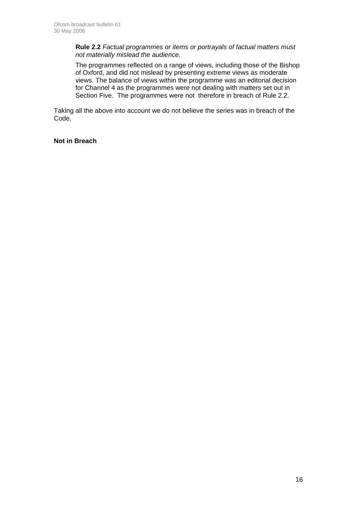**Rule 2.2** *Factual programmes or items or portrayals of factual matters must not materially mislead the audience.* 

The programmes reflected on a range of views, including those of the Bishop of Oxford, and did not mislead by presenting extreme views as moderate views. The balance of views within the programme was an editorial decision for Channel 4 as the programmes were not dealing with matters set out in Section Five. The programmes were not therefore in breach of Rule 2.2.

Taking all the above into account we do not believe the series was in breach of the Code.

### **Not in Breach**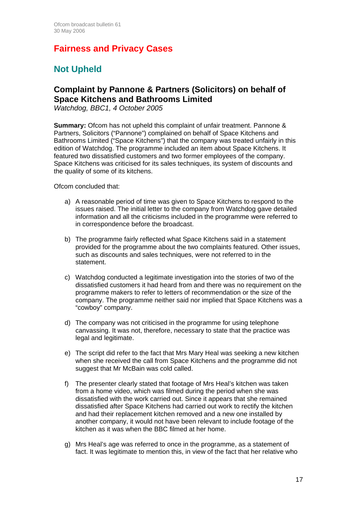# **Fairness and Privacy Cases**

# **Not Upheld**

# **Complaint by Pannone & Partners (Solicitors) on behalf of Space Kitchens and Bathrooms Limited**

*Watchdog, BBC1, 4 October 2005* 

**Summary:** Ofcom has not upheld this complaint of unfair treatment. Pannone & Partners, Solicitors ("Pannone") complained on behalf of Space Kitchens and Bathrooms Limited ("Space Kitchens") that the company was treated unfairly in this edition of Watchdog. The programme included an item about Space Kitchens. It featured two dissatisfied customers and two former employees of the company. Space Kitchens was criticised for its sales techniques, its system of discounts and the quality of some of its kitchens.

Ofcom concluded that:

- a) A reasonable period of time was given to Space Kitchens to respond to the issues raised. The initial letter to the company from Watchdog gave detailed information and all the criticisms included in the programme were referred to in correspondence before the broadcast.
- b) The programme fairly reflected what Space Kitchens said in a statement provided for the programme about the two complaints featured. Other issues, such as discounts and sales techniques, were not referred to in the statement.
- c) Watchdog conducted a legitimate investigation into the stories of two of the dissatisfied customers it had heard from and there was no requirement on the programme makers to refer to letters of recommendation or the size of the company. The programme neither said nor implied that Space Kitchens was a "cowboy" company.
- d) The company was not criticised in the programme for using telephone canvassing. It was not, therefore, necessary to state that the practice was legal and legitimate.
- e) The script did refer to the fact that Mrs Mary Heal was seeking a new kitchen when she received the call from Space Kitchens and the programme did not suggest that Mr McBain was cold called.
- f) The presenter clearly stated that footage of Mrs Heal's kitchen was taken from a home video, which was filmed during the period when she was dissatisfied with the work carried out. Since it appears that she remained dissatisfied after Space Kitchens had carried out work to rectify the kitchen and had their replacement kitchen removed and a new one installed by another company, it would not have been relevant to include footage of the kitchen as it was when the BBC filmed at her home.
- g) Mrs Heal's age was referred to once in the programme, as a statement of fact. It was legitimate to mention this, in view of the fact that her relative who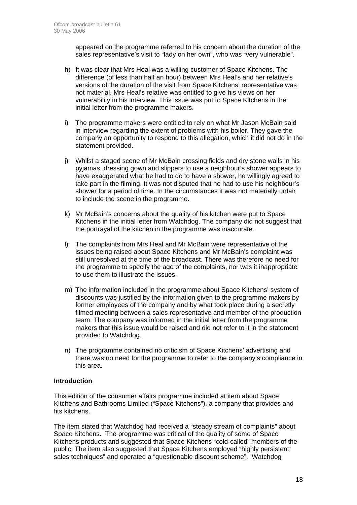appeared on the programme referred to his concern about the duration of the sales representative's visit to "lady on her own", who was "very vulnerable".

- h) It was clear that Mrs Heal was a willing customer of Space Kitchens. The difference (of less than half an hour) between Mrs Heal's and her relative's versions of the duration of the visit from Space Kitchens' representative was not material. Mrs Heal's relative was entitled to give his views on her vulnerability in his interview. This issue was put to Space Kitchens in the initial letter from the programme makers.
- i) The programme makers were entitled to rely on what Mr Jason McBain said in interview regarding the extent of problems with his boiler. They gave the company an opportunity to respond to this allegation, which it did not do in the statement provided.
- j) Whilst a staged scene of Mr McBain crossing fields and dry stone walls in his pyjamas, dressing gown and slippers to use a neighbour's shower appears to have exaggerated what he had to do to have a shower, he willingly agreed to take part in the filming. It was not disputed that he had to use his neighbour's shower for a period of time. In the circumstances it was not materially unfair to include the scene in the programme.
- k) Mr McBain's concerns about the quality of his kitchen were put to Space Kitchens in the initial letter from Watchdog. The company did not suggest that the portrayal of the kitchen in the programme was inaccurate.
- l) The complaints from Mrs Heal and Mr McBain were representative of the issues being raised about Space Kitchens and Mr McBain's complaint was still unresolved at the time of the broadcast. There was therefore no need for the programme to specify the age of the complaints, nor was it inappropriate to use them to illustrate the issues.
- m) The information included in the programme about Space Kitchens' system of discounts was justified by the information given to the programme makers by former employees of the company and by what took place during a secretly filmed meeting between a sales representative and member of the production team. The company was informed in the initial letter from the programme makers that this issue would be raised and did not refer to it in the statement provided to Watchdog.
- n) The programme contained no criticism of Space Kitchens' advertising and there was no need for the programme to refer to the company's compliance in this area.

### **Introduction**

This edition of the consumer affairs programme included at item about Space Kitchens and Bathrooms Limited ("Space Kitchens"), a company that provides and fits kitchens.

The item stated that Watchdog had received a "steady stream of complaints" about Space Kitchens. The programme was critical of the quality of some of Space Kitchens products and suggested that Space Kitchens "cold-called" members of the public. The item also suggested that Space Kitchens employed "highly persistent sales techniques" and operated a "questionable discount scheme". Watchdog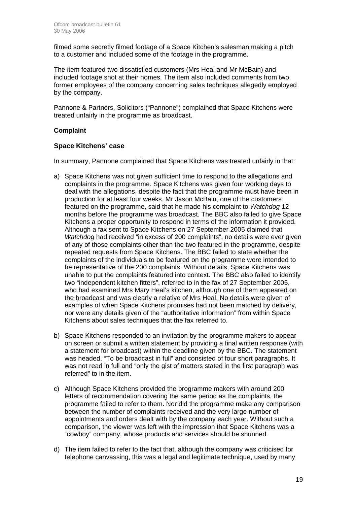filmed some secretly filmed footage of a Space Kitchen's salesman making a pitch to a customer and included some of the footage in the programme.

The item featured two dissatisfied customers (Mrs Heal and Mr McBain) and included footage shot at their homes. The item also included comments from two former employees of the company concerning sales techniques allegedly employed by the company.

Pannone & Partners, Solicitors ("Pannone") complained that Space Kitchens were treated unfairly in the programme as broadcast.

### **Complaint**

### **Space Kitchens' case**

In summary, Pannone complained that Space Kitchens was treated unfairly in that:

- a) Space Kitchens was not given sufficient time to respond to the allegations and complaints in the programme. Space Kitchens was given four working days to deal with the allegations, despite the fact that the programme must have been in production for at least four weeks. Mr Jason McBain, one of the customers featured on the programme, said that he made his complaint to *Watchdog* 12 months before the programme was broadcast. The BBC also failed to give Space Kitchens a proper opportunity to respond in terms of the information it provided. Although a fax sent to Space Kitchens on 27 September 2005 claimed that *Watchdog* had received "in excess of 200 complaints", no details were ever given of any of those complaints other than the two featured in the programme, despite repeated requests from Space Kitchens. The BBC failed to state whether the complaints of the individuals to be featured on the programme were intended to be representative of the 200 complaints. Without details, Space Kitchens was unable to put the complaints featured into context. The BBC also failed to identify two "independent kitchen fitters", referred to in the fax of 27 September 2005, who had examined Mrs Mary Heal's kitchen, although one of them appeared on the broadcast and was clearly a relative of Mrs Heal. No details were given of examples of when Space Kitchens promises had not been matched by delivery, nor were any details given of the "authoritative information" from within Space Kitchens about sales techniques that the fax referred to.
- b) Space Kitchens responded to an invitation by the programme makers to appear on screen or submit a written statement by providing a final written response (with a statement for broadcast) within the deadline given by the BBC. The statement was headed, "To be broadcast in full" and consisted of four short paragraphs. It was not read in full and "only the gist of matters stated in the first paragraph was referred" to in the item.
- c) Although Space Kitchens provided the programme makers with around 200 letters of recommendation covering the same period as the complaints, the programme failed to refer to them. Nor did the programme make any comparison between the number of complaints received and the very large number of appointments and orders dealt with by the company each year. Without such a comparison, the viewer was left with the impression that Space Kitchens was a "cowboy" company, whose products and services should be shunned.
- d) The item failed to refer to the fact that, although the company was criticised for telephone canvassing, this was a legal and legitimate technique, used by many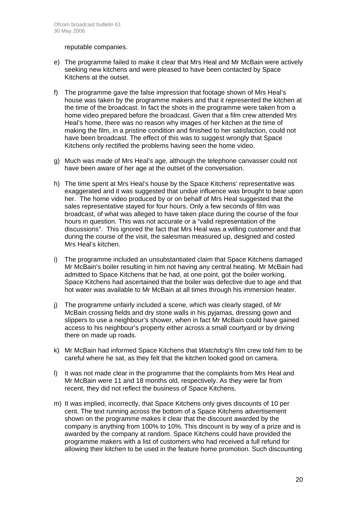reputable companies.

- e) The programme failed to make it clear that Mrs Heal and Mr McBain were actively seeking new kitchens and were pleased to have been contacted by Space Kitchens at the outset.
- f) The programme gave the false impression that footage shown of Mrs Heal's house was taken by the programme makers and that it represented the kitchen at the time of the broadcast. In fact the shots in the programme were taken from a home video prepared before the broadcast. Given that a film crew attended Mrs Heal's home, there was no reason why images of her kitchen at the time of making the film, in a pristine condition and finished to her satisfaction, could not have been broadcast. The effect of this was to suggest wrongly that Space Kitchens only rectified the problems having seen the home video.
- g) Much was made of Mrs Heal's age, although the telephone canvasser could not have been aware of her age at the outset of the conversation.
- h) The time spent at Mrs Heal's house by the Space Kitchens' representative was exaggerated and it was suggested that undue influence was brought to bear upon her. The home video produced by or on behalf of Mrs Heal suggested that the sales representative stayed for four hours. Only a few seconds of film was broadcast, of what was alleged to have taken place during the course of the four hours in question. This was not accurate or a "valid representation of the discussions". This ignored the fact that Mrs Heal was a willing customer and that during the course of the visit, the salesman measured up, designed and costed Mrs Heal's kitchen.
- i) The programme included an unsubstantiated claim that Space Kitchens damaged Mr McBain's boiler resulting in him not having any central heating. Mr McBain had admitted to Space Kitchens that he had, at one point, got the boiler working. Space Kitchens had ascertained that the boiler was defective due to age and that hot water was available to Mr McBain at all times through his immersion heater.
- j) The programme unfairly included a scene, which was clearly staged, of Mr McBain crossing fields and dry stone walls in his pyjamas, dressing gown and slippers to use a neighbour's shower, when in fact Mr McBain could have gained access to his neighbour's property either across a small courtyard or by driving there on made up roads.
- k) Mr McBain had informed Space Kitchens that *Watchdog*'s film crew told him to be careful where he sat, as they felt that the kitchen looked good on camera.
- l) It was not made clear in the programme that the complaints from Mrs Heal and Mr McBain were 11 and 18 months old, respectively. As they were far from recent, they did not reflect the business of Space Kitchens.
- m) It was implied, incorrectly, that Space Kitchens only gives discounts of 10 per cent. The text running across the bottom of a Space Kitchens advertisement shown on the programme makes it clear that the discount awarded by the company is anything from 100% to 10%. This discount is by way of a prize and is awarded by the company at random. Space Kitchens could have provided the programme makers with a list of customers who had received a full refund for allowing their kitchen to be used in the feature home promotion. Such discounting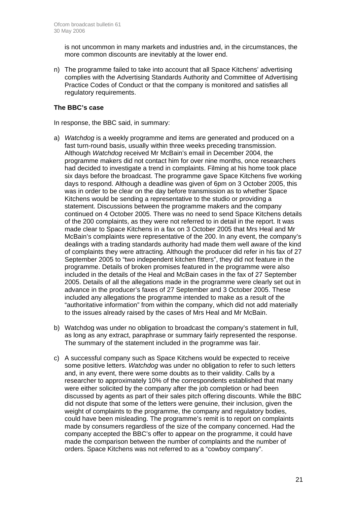is not uncommon in many markets and industries and, in the circumstances, the more common discounts are inevitably at the lower end.

n) The programme failed to take into account that all Space Kitchens' advertising complies with the Advertising Standards Authority and Committee of Advertising Practice Codes of Conduct or that the company is monitored and satisfies all regulatory requirements.

### **The BBC's case**

In response, the BBC said, in summary:

- a) *Watchdog* is a weekly programme and items are generated and produced on a fast turn-round basis, usually within three weeks preceding transmission. Although *Watchdog* received Mr McBain's email in December 2004, the programme makers did not contact him for over nine months, once researchers had decided to investigate a trend in complaints. Filming at his home took place six days before the broadcast. The programme gave Space Kitchens five working days to respond. Although a deadline was given of 6pm on 3 October 2005, this was in order to be clear on the day before transmission as to whether Space Kitchens would be sending a representative to the studio or providing a statement. Discussions between the programme makers and the company continued on 4 October 2005. There was no need to send Space Kitchens details of the 200 complaints, as they were not referred to in detail in the report. It was made clear to Space Kitchens in a fax on 3 October 2005 that Mrs Heal and Mr McBain's complaints were representative of the 200. In any event, the company's dealings with a trading standards authority had made them well aware of the kind of complaints they were attracting. Although the producer did refer in his fax of 27 September 2005 to "two independent kitchen fitters", they did not feature in the programme. Details of broken promises featured in the programme were also included in the details of the Heal and McBain cases in the fax of 27 September 2005. Details of all the allegations made in the programme were clearly set out in advance in the producer's faxes of 27 September and 3 October 2005. These included any allegations the programme intended to make as a result of the "authoritative information" from within the company, which did not add materially to the issues already raised by the cases of Mrs Heal and Mr McBain.
- b) Watchdog was under no obligation to broadcast the company's statement in full, as long as any extract, paraphrase or summary fairly represented the response. The summary of the statement included in the programme was fair.
- c) A successful company such as Space Kitchens would be expected to receive some positive letters. *Watchdog* was under no obligation to refer to such letters and, in any event, there were some doubts as to their validity. Calls by a researcher to approximately 10% of the correspondents established that many were either solicited by the company after the job completion or had been discussed by agents as part of their sales pitch offering discounts. While the BBC did not dispute that some of the letters were genuine, their inclusion, given the weight of complaints to the programme, the company and regulatory bodies, could have been misleading. The programme's remit is to report on complaints made by consumers regardless of the size of the company concerned. Had the company accepted the BBC's offer to appear on the programme, it could have made the comparison between the number of complaints and the number of orders. Space Kitchens was not referred to as a "cowboy company".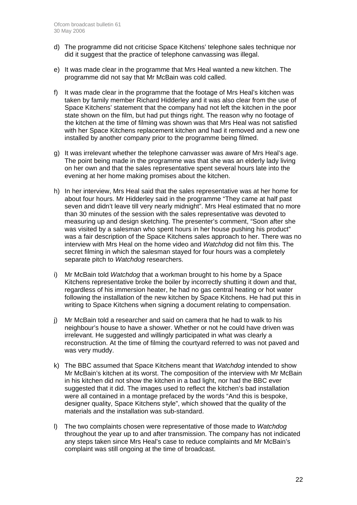- d) The programme did not criticise Space Kitchens' telephone sales technique nor did it suggest that the practice of telephone canvassing was illegal.
- e) It was made clear in the programme that Mrs Heal wanted a new kitchen. The programme did not say that Mr McBain was cold called.
- f) It was made clear in the programme that the footage of Mrs Heal's kitchen was taken by family member Richard Hidderley and it was also clear from the use of Space Kitchens' statement that the company had not left the kitchen in the poor state shown on the film, but had put things right. The reason why no footage of the kitchen at the time of filming was shown was that Mrs Heal was not satisfied with her Space Kitchens replacement kitchen and had it removed and a new one installed by another company prior to the programme being filmed.
- g) It was irrelevant whether the telephone canvasser was aware of Mrs Heal's age. The point being made in the programme was that she was an elderly lady living on her own and that the sales representative spent several hours late into the evening at her home making promises about the kitchen.
- h) In her interview, Mrs Heal said that the sales representative was at her home for about four hours. Mr Hidderley said in the programme "They came at half past seven and didn't leave till very nearly midnight". Mrs Heal estimated that no more than 30 minutes of the session with the sales representative was devoted to measuring up and design sketching. The presenter's comment, "Soon after she was visited by a salesman who spent hours in her house pushing his product" was a fair description of the Space Kitchens sales approach to her. There was no interview with Mrs Heal on the home video and *Watchdog* did not film this. The secret filming in which the salesman stayed for four hours was a completely separate pitch to *Watchdog* researchers.
- i) Mr McBain told *Watchdog* that a workman brought to his home by a Space Kitchens representative broke the boiler by incorrectly shutting it down and that, regardless of his immersion heater, he had no gas central heating or hot water following the installation of the new kitchen by Space Kitchens. He had put this in writing to Space Kitchens when signing a document relating to compensation.
- j) Mr McBain told a researcher and said on camera that he had to walk to his neighbour's house to have a shower. Whether or not he could have driven was irrelevant. He suggested and willingly participated in what was clearly a reconstruction. At the time of filming the courtyard referred to was not paved and was very muddy.
- k) The BBC assumed that Space Kitchens meant that *Watchdog* intended to show Mr McBain's kitchen at its worst. The composition of the interview with Mr McBain in his kitchen did not show the kitchen in a bad light, nor had the BBC ever suggested that it did. The images used to reflect the kitchen's bad installation were all contained in a montage prefaced by the words "And this is bespoke, designer quality, Space Kitchens style", which showed that the quality of the materials and the installation was sub-standard.
- l) The two complaints chosen were representative of those made to *Watchdog* throughout the year up to and after transmission. The company has not indicated any steps taken since Mrs Heal's case to reduce complaints and Mr McBain's complaint was still ongoing at the time of broadcast.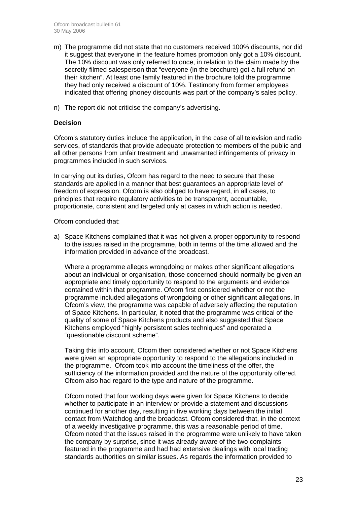- m) The programme did not state that no customers received 100% discounts, nor did it suggest that everyone in the feature homes promotion only got a 10% discount. The 10% discount was only referred to once, in relation to the claim made by the secretly filmed salesperson that "everyone (in the brochure) got a full refund on their kitchen". At least one family featured in the brochure told the programme they had only received a discount of 10%. Testimony from former employees indicated that offering phoney discounts was part of the company's sales policy.
- n) The report did not criticise the company's advertising.

### **Decision**

Ofcom's statutory duties include the application, in the case of all television and radio services, of standards that provide adequate protection to members of the public and all other persons from unfair treatment and unwarranted infringements of privacy in programmes included in such services.

In carrying out its duties, Ofcom has regard to the need to secure that these standards are applied in a manner that best guarantees an appropriate level of freedom of expression. Ofcom is also obliged to have regard, in all cases, to principles that require regulatory activities to be transparent, accountable, proportionate, consistent and targeted only at cases in which action is needed.

#### Ofcom concluded that:

a) Space Kitchens complained that it was not given a proper opportunity to respond to the issues raised in the programme, both in terms of the time allowed and the information provided in advance of the broadcast.

Where a programme alleges wrongdoing or makes other significant allegations about an individual or organisation, those concerned should normally be given an appropriate and timely opportunity to respond to the arguments and evidence contained within that programme. Ofcom first considered whether or not the programme included allegations of wrongdoing or other significant allegations. In Ofcom's view, the programme was capable of adversely affecting the reputation of Space Kitchens. In particular, it noted that the programme was critical of the quality of some of Space Kitchens products and also suggested that Space Kitchens employed "highly persistent sales techniques" and operated a "questionable discount scheme".

Taking this into account, Ofcom then considered whether or not Space Kitchens were given an appropriate opportunity to respond to the allegations included in the programme. Ofcom took into account the timeliness of the offer, the sufficiency of the information provided and the nature of the opportunity offered. Ofcom also had regard to the type and nature of the programme.

Ofcom noted that four working days were given for Space Kitchens to decide whether to participate in an interview or provide a statement and discussions continued for another day, resulting in five working days between the initial contact from Watchdog and the broadcast. Ofcom considered that, in the context of a weekly investigative programme, this was a reasonable period of time. Ofcom noted that the issues raised in the programme were unlikely to have taken the company by surprise, since it was already aware of the two complaints featured in the programme and had had extensive dealings with local trading standards authorities on similar issues. As regards the information provided to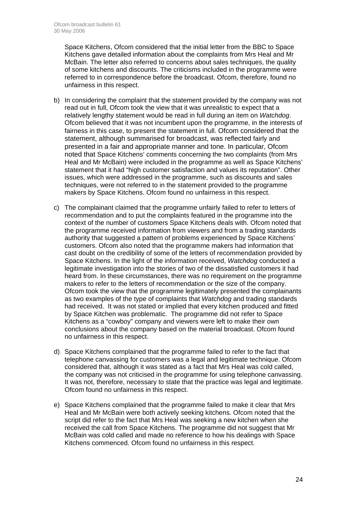Space Kitchens, Ofcom considered that the initial letter from the BBC to Space Kitchens gave detailed information about the complaints from Mrs Heal and Mr McBain. The letter also referred to concerns about sales techniques, the quality of some kitchens and discounts. The criticisms included in the programme were referred to in correspondence before the broadcast. Ofcom, therefore, found no unfairness in this respect.

- b) In considering the complaint that the statement provided by the company was not read out in full, Ofcom took the view that it was unrealistic to expect that a relatively lengthy statement would be read in full during an item on *Watchdog*. Ofcom believed that it was not incumbent upon the programme, in the interests of fairness in this case, to present the statement in full. Ofcom considered that the statement, although summarised for broadcast, was reflected fairly and presented in a fair and appropriate manner and tone. In particular, Ofcom noted that Space Kitchens' comments concerning the two complaints (from Mrs Heal and Mr McBain) were included in the programme as well as Space Kitchens' statement that it had "high customer satisfaction and values its reputation". Other issues, which were addressed in the programme, such as discounts and sales techniques, were not referred to in the statement provided to the programme makers by Space Kitchens. Ofcom found no unfairness in this respect.
- c) The complainant claimed that the programme unfairly failed to refer to letters of recommendation and to put the complaints featured in the programme into the context of the number of customers Space Kitchens deals with. Ofcom noted that the programme received information from viewers and from a trading standards authority that suggested a pattern of problems experienced by Space Kitchens' customers. Ofcom also noted that the programme makers had information that cast doubt on the credibility of some of the letters of recommendation provided by Space Kitchens. In the light of the information received, *Watchdog* conducted a legitimate investigation into the stories of two of the dissatisfied customers it had heard from. In these circumstances, there was no requirement on the programme makers to refer to the letters of recommendation or the size of the company. Ofcom took the view that the programme legitimately presented the complainants as two examples of the type of complaints that *Watchdog* and trading standards had received. It was not stated or implied that every kitchen produced and fitted by Space Kitchen was problematic. The programme did not refer to Space Kitchens as a "cowboy" company and viewers were left to make their own conclusions about the company based on the material broadcast. Ofcom found no unfairness in this respect.
- d) Space Kitchens complained that the programme failed to refer to the fact that telephone canvassing for customers was a legal and legitimate technique. Ofcom considered that, although it was stated as a fact that Mrs Heal was cold called, the company was not criticised in the programme for using telephone canvassing. It was not, therefore, necessary to state that the practice was legal and legitimate. Ofcom found no unfairness in this respect.
- e) Space Kitchens complained that the programme failed to make it clear that Mrs Heal and Mr McBain were both actively seeking kitchens. Ofcom noted that the script did refer to the fact that Mrs Heal was seeking a new kitchen when she received the call from Space Kitchens. The programme did not suggest that Mr McBain was cold called and made no reference to how his dealings with Space Kitchens commenced. Ofcom found no unfairness in this respect.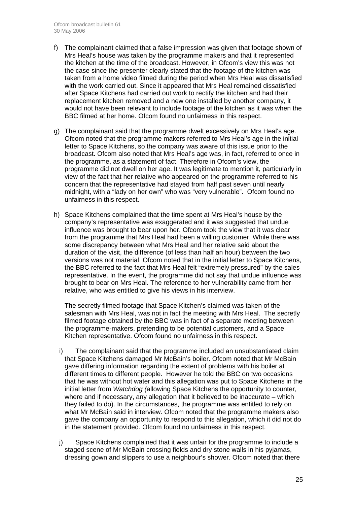- f) The complainant claimed that a false impression was given that footage shown of Mrs Heal's house was taken by the programme makers and that it represented the kitchen at the time of the broadcast. However, in Ofcom's view this was not the case since the presenter clearly stated that the footage of the kitchen was taken from a home video filmed during the period when Mrs Heal was dissatisfied with the work carried out. Since it appeared that Mrs Heal remained dissatisfied after Space Kitchens had carried out work to rectify the kitchen and had their replacement kitchen removed and a new one installed by another company, it would not have been relevant to include footage of the kitchen as it was when the BBC filmed at her home. Ofcom found no unfairness in this respect.
- g) The complainant said that the programme dwelt excessively on Mrs Heal's age. Ofcom noted that the programme makers referred to Mrs Heal's age in the initial letter to Space Kitchens, so the company was aware of this issue prior to the broadcast. Ofcom also noted that Mrs Heal's age was, in fact, referred to once in the programme, as a statement of fact. Therefore in Ofcom's view, the programme did not dwell on her age. It was legitimate to mention it, particularly in view of the fact that her relative who appeared on the programme referred to his concern that the representative had stayed from half past seven until nearly midnight, with a "lady on her own" who was "very vulnerable". Ofcom found no unfairness in this respect.
- h) Space Kitchens complained that the time spent at Mrs Heal's house by the company's representative was exaggerated and it was suggested that undue influence was brought to bear upon her. Ofcom took the view that it was clear from the programme that Mrs Heal had been a willing customer. While there was some discrepancy between what Mrs Heal and her relative said about the duration of the visit, the difference (of less than half an hour) between the two versions was not material. Ofcom noted that in the initial letter to Space Kitchens, the BBC referred to the fact that Mrs Heal felt "extremely pressured" by the sales representative. In the event, the programme did not say that undue influence was brought to bear on Mrs Heal. The reference to her vulnerability came from her relative, who was entitled to give his views in his interview.

The secretly filmed footage that Space Kitchen's claimed was taken of the salesman with Mrs Heal, was not in fact the meeting with Mrs Heal. The secretly filmed footage obtained by the BBC was in fact of a separate meeting between the programme-makers, pretending to be potential customers, and a Space Kitchen representative. Ofcom found no unfairness in this respect.

- i) The complainant said that the programme included an unsubstantiated claim that Space Kitchens damaged Mr McBain's boiler. Ofcom noted that Mr McBain gave differing information regarding the extent of problems with his boiler at different times to different people. However he told the BBC on two occasions that he was without hot water and this allegation was put to Space Kitchens in the initial letter from *Watchdog (*allowing Space Kitchens the opportunity to counter, where and if necessary, any allegation that it believed to be inaccurate – which they failed to do). In the circumstances, the programme was entitled to rely on what Mr McBain said in interview. Ofcom noted that the programme makers also gave the company an opportunity to respond to this allegation, which it did not do in the statement provided. Ofcom found no unfairness in this respect.
- j) Space Kitchens complained that it was unfair for the programme to include a staged scene of Mr McBain crossing fields and dry stone walls in his pyjamas, dressing gown and slippers to use a neighbour's shower. Ofcom noted that there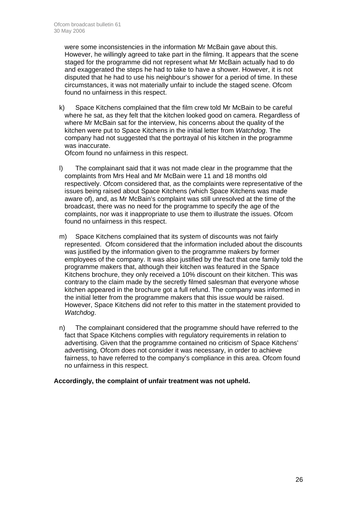were some inconsistencies in the information Mr McBain gave about this. However, he willingly agreed to take part in the filming. It appears that the scene staged for the programme did not represent what Mr McBain actually had to do and exaggerated the steps he had to take to have a shower. However, it is not disputed that he had to use his neighbour's shower for a period of time. In these circumstances, it was not materially unfair to include the staged scene. Ofcom found no unfairness in this respect.

k) Space Kitchens complained that the film crew told Mr McBain to be careful where he sat, as they felt that the kitchen looked good on camera. Regardless of where Mr McBain sat for the interview, his concerns about the quality of the kitchen were put to Space Kitchens in the initial letter from *Watchdog*. The company had not suggested that the portrayal of his kitchen in the programme was inaccurate.

Ofcom found no unfairness in this respect.

- l) The complainant said that it was not made clear in the programme that the complaints from Mrs Heal and Mr McBain were 11 and 18 months old respectively. Ofcom considered that, as the complaints were representative of the issues being raised about Space Kitchens (which Space Kitchens was made aware of), and, as Mr McBain's complaint was still unresolved at the time of the broadcast, there was no need for the programme to specify the age of the complaints, nor was it inappropriate to use them to illustrate the issues. Ofcom found no unfairness in this respect.
- m) Space Kitchens complained that its system of discounts was not fairly represented. Ofcom considered that the information included about the discounts was justified by the information given to the programme makers by former employees of the company. It was also justified by the fact that one family told the programme makers that, although their kitchen was featured in the Space Kitchens brochure, they only received a 10% discount on their kitchen. This was contrary to the claim made by the secretly filmed salesman that everyone whose kitchen appeared in the brochure got a full refund. The company was informed in the initial letter from the programme makers that this issue would be raised. However, Space Kitchens did not refer to this matter in the statement provided to *Watchdog*.
- n) The complainant considered that the programme should have referred to the fact that Space Kitchens complies with regulatory requirements in relation to advertising. Given that the programme contained no criticism of Space Kitchens' advertising, Ofcom does not consider it was necessary, in order to achieve fairness, to have referred to the company's compliance in this area. Ofcom found no unfairness in this respect.

### **Accordingly, the complaint of unfair treatment was not upheld.**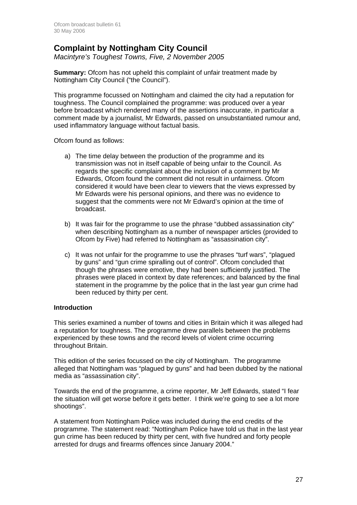# **Complaint by Nottingham City Council**

*Macintyre's Toughest Towns, Five, 2 November 2005* 

**Summary:** Ofcom has not upheld this complaint of unfair treatment made by Nottingham City Council ("the Council").

This programme focussed on Nottingham and claimed the city had a reputation for toughness. The Council complained the programme: was produced over a year before broadcast which rendered many of the assertions inaccurate, in particular a comment made by a journalist, Mr Edwards, passed on unsubstantiated rumour and, used inflammatory language without factual basis.

Ofcom found as follows:

- a) The time delay between the production of the programme and its transmission was not in itself capable of being unfair to the Council. As regards the specific complaint about the inclusion of a comment by Mr Edwards, Ofcom found the comment did not result in unfairness. Ofcom considered it would have been clear to viewers that the views expressed by Mr Edwards were his personal opinions, and there was no evidence to suggest that the comments were not Mr Edward's opinion at the time of broadcast.
- b) It was fair for the programme to use the phrase "dubbed assassination city" when describing Nottingham as a number of newspaper articles (provided to Ofcom by Five) had referred to Nottingham as "assassination city".
- c) It was not unfair for the programme to use the phrases "turf wars", "plagued by guns" and "gun crime spiralling out of control". Ofcom concluded that though the phrases were emotive, they had been sufficiently justified. The phrases were placed in context by date references; and balanced by the final statement in the programme by the police that in the last year gun crime had been reduced by thirty per cent.

### **Introduction**

This series examined a number of towns and cities in Britain which it was alleged had a reputation for toughness. The programme drew parallels between the problems experienced by these towns and the record levels of violent crime occurring throughout Britain.

This edition of the series focussed on the city of Nottingham. The programme alleged that Nottingham was "plagued by guns" and had been dubbed by the national media as "assassination city".

Towards the end of the programme, a crime reporter, Mr Jeff Edwards, stated "I fear the situation will get worse before it gets better. I think we're going to see a lot more shootings".

A statement from Nottingham Police was included during the end credits of the programme. The statement read: "Nottingham Police have told us that in the last year gun crime has been reduced by thirty per cent, with five hundred and forty people arrested for drugs and firearms offences since January 2004."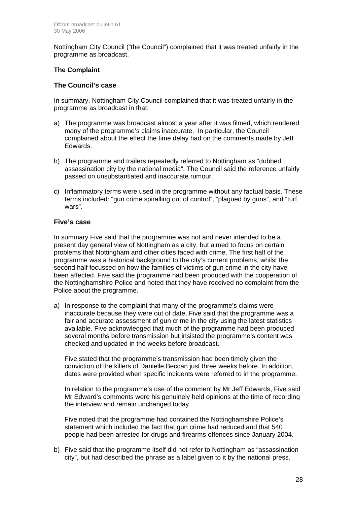Nottingham City Council ("the Council") complained that it was treated unfairly in the programme as broadcast.

### **The Complaint**

### **The Council's case**

In summary, Nottingham City Council complained that it was treated unfairly in the programme as broadcast in that:

- a) The programme was broadcast almost a year after it was filmed, which rendered many of the programme's claims inaccurate. In particular, the Council complained about the effect the time delay had on the comments made by Jeff Edwards.
- b) The programme and trailers repeatedly referred to Nottingham as "dubbed assassination city by the national media". The Council said the reference unfairly passed on unsubstantiated and inaccurate rumour.
- c) Inflammatory terms were used in the programme without any factual basis. These terms included: "gun crime spiralling out of control", "plagued by guns", and "turf wars".

### **Five's case**

In summary Five said that the programme was not and never intended to be a present day general view of Nottingham as a city, but aimed to focus on certain problems that Nottingham and other cities faced with crime. The first half of the programme was a historical background to the city's current problems, whilst the second half focussed on how the families of victims of gun crime in the city have been affected. Five said the programme had been produced with the cooperation of the Nottinghamshire Police and noted that they have received no complaint from the Police about the programme.

a) In response to the complaint that many of the programme's claims were inaccurate because they were out of date, Five said that the programme was a fair and accurate assessment of gun crime in the city using the latest statistics available. Five acknowledged that much of the programme had been produced several months before transmission but insisted the programme's content was checked and updated in the weeks before broadcast.

Five stated that the programme's transmission had been timely given the conviction of the killers of Danielle Beccan just three weeks before. In addition, dates were provided when specific incidents were referred to in the programme.

In relation to the programme's use of the comment by Mr Jeff Edwards, Five said Mr Edward's comments were his genuinely held opinions at the time of recording the interview and remain unchanged today.

Five noted that the programme had contained the Nottinghamshire Police's statement which included the fact that gun crime had reduced and that 540 people had been arrested for drugs and firearms offences since January 2004.

b) Five said that the programme itself did not refer to Nottingham as "assassination city", but had described the phrase as a label given to it by the national press.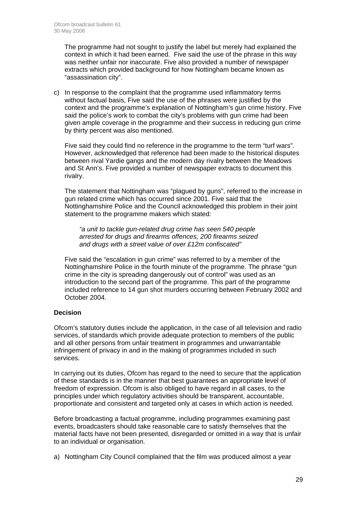The programme had not sought to justify the label but merely had explained the context in which it had been earned. Five said the use of the phrase in this way was neither unfair nor inaccurate. Five also provided a number of newspaper extracts which provided background for how Nottingham became known as "assassination city".

c) In response to the complaint that the programme used inflammatory terms without factual basis, Five said the use of the phrases were justified by the context and the programme's explanation of Nottingham's gun crime history. Five said the police's work to combat the city's problems with gun crime had been given ample coverage in the programme and their success in reducing gun crime by thirty percent was also mentioned.

Five said they could find no reference in the programme to the term "turf wars". However, acknowledged that reference had been made to the historical disputes between rival Yardie gangs and the modern day rivalry between the Meadows and St Ann's. Five provided a number of newspaper extracts to document this rivalry.

The statement that Nottingham was "plagued by guns", referred to the increase in gun related crime which has occurred since 2001. Five said that the Nottinghamshire Police and the Council acknowledged this problem in their joint statement to the programme makers which stated:

*"a unit to tackle gun-related drug crime has seen 540 people arrested for drugs and firearms offences, 200 firearms seized and drugs with a street value of over £12m confiscated"*

Five said the "escalation in gun crime" was referred to by a member of the Nottinghamshire Police in the fourth minute of the programme. The phrase "gun crime in the city is spreading dangerously out of control" was used as an introduction to the second part of the programme. This part of the programme included reference to 14 gun shot murders occurring between February 2002 and October 2004.

### **Decision**

Ofcom's statutory duties include the application, in the case of all television and radio services, of standards which provide adequate protection to members of the public and all other persons from unfair treatment in programmes and unwarrantable infringement of privacy in and in the making of programmes included in such services.

In carrying out its duties, Ofcom has regard to the need to secure that the application of these standards is in the manner that best guarantees an appropriate level of freedom of expression. Ofcom is also obliged to have regard in all cases, to the principles under which regulatory activities should be transparent, accountable, proportionate and consistent and targeted only at cases in which action is needed.

Before broadcasting a factual programme, including programmes examining past events, broadcasters should take reasonable care to satisfy themselves that the material facts have not been presented, disregarded or omitted in a way that is unfair to an individual or organisation.

a) Nottingham City Council complained that the film was produced almost a year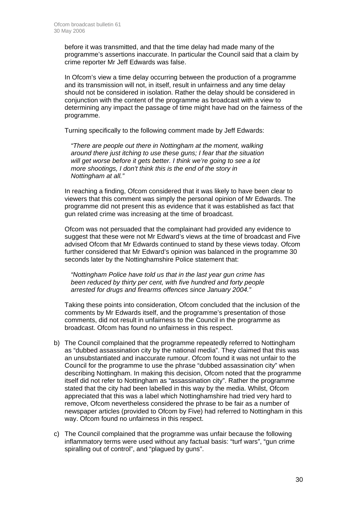before it was transmitted, and that the time delay had made many of the programme's assertions inaccurate. In particular the Council said that a claim by crime reporter Mr Jeff Edwards was false.

In Ofcom's view a time delay occurring between the production of a programme and its transmission will not, in itself, result in unfairness and any time delay should not be considered in isolation. Rather the delay should be considered in conjunction with the content of the programme as broadcast with a view to determining any impact the passage of time might have had on the fairness of the programme.

Turning specifically to the following comment made by Jeff Edwards:

*"There are people out there in Nottingham at the moment, walking around there just itching to use these guns; I fear that the situation will get worse before it gets better. I think we're going to see a lot more shootings, I don't think this is the end of the story in Nottingham at all."*

In reaching a finding, Ofcom considered that it was likely to have been clear to viewers that this comment was simply the personal opinion of Mr Edwards. The programme did not present this as evidence that it was established as fact that gun related crime was increasing at the time of broadcast.

Ofcom was not persuaded that the complainant had provided any evidence to suggest that these were not Mr Edward's views at the time of broadcast and Five advised Ofcom that Mr Edwards continued to stand by these views today. Ofcom further considered that Mr Edward's opinion was balanced in the programme 30 seconds later by the Nottinghamshire Police statement that:

*"Nottingham Police have told us that in the last year gun crime has been reduced by thirty per cent, with five hundred and forty people arrested for drugs and firearms offences since January 2004."* 

 Taking these points into consideration, Ofcom concluded that the inclusion of the comments by Mr Edwards itself, and the programme's presentation of those comments, did not result in unfairness to the Council in the programme as broadcast. Ofcom has found no unfairness in this respect.

- b) The Council complained that the programme repeatedly referred to Nottingham as "dubbed assassination city by the national media". They claimed that this was an unsubstantiated and inaccurate rumour. Ofcom found it was not unfair to the Council for the programme to use the phrase "dubbed assassination city" when describing Nottingham. In making this decision, Ofcom noted that the programme itself did not refer to Nottingham as "assassination city". Rather the programme stated that the city had been labelled in this way by the media. Whilst, Ofcom appreciated that this was a label which Nottinghamshire had tried very hard to remove, Ofcom nevertheless considered the phrase to be fair as a number of newspaper articles (provided to Ofcom by Five) had referred to Nottingham in this way. Ofcom found no unfairness in this respect.
- c) The Council complained that the programme was unfair because the following inflammatory terms were used without any factual basis: "turf wars", "gun crime spiralling out of control", and "plagued by guns".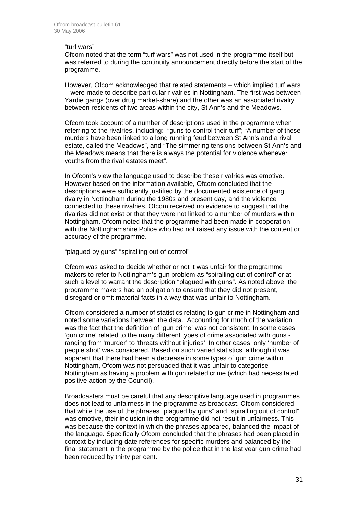### "turf wars"

Ofcom noted that the term "turf wars" was not used in the programme itself but was referred to during the continuity announcement directly before the start of the programme.

However, Ofcom acknowledged that related statements – which implied turf wars - were made to describe particular rivalries in Nottingham. The first was between Yardie gangs (over drug market-share) and the other was an associated rivalry between residents of two areas within the city, St Ann's and the Meadows.

Ofcom took account of a number of descriptions used in the programme when referring to the rivalries, including: "guns to control their turf"; "A number of these murders have been linked to a long running feud between St Ann's and a rival estate, called the Meadows", and "The simmering tensions between St Ann's and the Meadows means that there is always the potential for violence whenever youths from the rival estates meet".

In Ofcom's view the language used to describe these rivalries was emotive. However based on the information available, Ofcom concluded that the descriptions were sufficiently justified by the documented existence of gang rivalry in Nottingham during the 1980s and present day, and the violence connected to these rivalries. Ofcom received no evidence to suggest that the rivalries did not exist or that they were not linked to a number of murders within Nottingham. Ofcom noted that the programme had been made in cooperation with the Nottinghamshire Police who had not raised any issue with the content or accuracy of the programme.

### "plagued by guns" "spiralling out of control"

Ofcom was asked to decide whether or not it was unfair for the programme makers to refer to Nottingham's gun problem as "spiralling out of control" or at such a level to warrant the description "plagued with guns". As noted above, the programme makers had an obligation to ensure that they did not present, disregard or omit material facts in a way that was unfair to Nottingham.

Ofcom considered a number of statistics relating to gun crime in Nottingham and noted some variations between the data. Accounting for much of the variation was the fact that the definition of 'gun crime' was not consistent. In some cases 'gun crime' related to the many different types of crime associated with guns ranging from 'murder' to 'threats without injuries'. In other cases, only 'number of people shot' was considered. Based on such varied statistics, although it was apparent that there had been a decrease in some types of gun crime within Nottingham, Ofcom was not persuaded that it was unfair to categorise Nottingham as having a problem with gun related crime (which had necessitated positive action by the Council).

Broadcasters must be careful that any descriptive language used in programmes does not lead to unfairness in the programme as broadcast. Ofcom considered that while the use of the phrases "plagued by guns" and "spiralling out of control" was emotive, their inclusion in the programme did not result in unfairness. This was because the context in which the phrases appeared, balanced the impact of the language. Specifically Ofcom concluded that the phrases had been placed in context by including date references for specific murders and balanced by the final statement in the programme by the police that in the last year gun crime had been reduced by thirty per cent.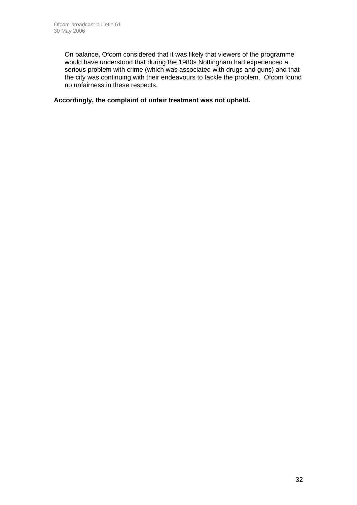On balance, Ofcom considered that it was likely that viewers of the programme would have understood that during the 1980s Nottingham had experienced a serious problem with crime (which was associated with drugs and guns) and that the city was continuing with their endeavours to tackle the problem. Ofcom found no unfairness in these respects.

**Accordingly, the complaint of unfair treatment was not upheld.**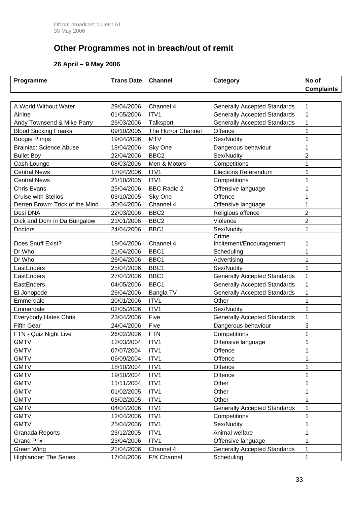# **Other Programmes not in breach/out of remit**

### **26 April – 9 May 2006**

| Programme                       | <b>Trans Date</b> | <b>Channel</b>     | Category                            | No of             |
|---------------------------------|-------------------|--------------------|-------------------------------------|-------------------|
|                                 |                   |                    |                                     | <b>Complaints</b> |
|                                 |                   |                    |                                     |                   |
| A World Without Water           | 29/04/2006        | Channel 4          | <b>Generally Accepted Standards</b> | 1                 |
| Airline                         | 01/05/2006        | ITV1               | <b>Generally Accepted Standards</b> | 1                 |
| Andy Townsend & Mike Parry      | 26/03/2006        | Talksport          | <b>Generally Accepted Standards</b> | 1                 |
| <b>Blood Sucking Freaks</b>     | 09/10/2005        | The Horror Channel | Offence                             | 1                 |
| <b>Boogie Pimps</b>             | 19/04/2006        | <b>MTV</b>         | Sex/Nudity                          | 1                 |
| <b>Brainiac: Science Abuse</b>  | 18/04/2006        | Sky One            | Dangerous behaviour                 | 1                 |
| <b>Bullet Boy</b>               | 22/04/2006        | BBC <sub>2</sub>   | Sex/Nudity                          | $\overline{2}$    |
| Cash Lounge                     | 08/03/2006        | Men & Motors       | Competitions                        | 1                 |
| <b>Central News</b>             | 17/04/2006        | ITV1               | <b>Elections Referendum</b>         | 1                 |
| <b>Central News</b>             | 21/10/2005        | ITV1               | Competitions                        | 1                 |
| <b>Chris Evans</b>              | 25/04/2006        | <b>BBC Radio 2</b> | Offensive language                  | 1                 |
| <b>Cruise with Stelios</b>      | 03/10/2005        | Sky One            | Offence                             |                   |
| Derren Brown: Trick of the Mind | 30/04/2006        | Channel 4          | Offensive language                  | 1                 |
| Desi DNA                        | 22/03/2006        | BBC <sub>2</sub>   | Religious offence                   | 2                 |
| Dick and Dom in Da Bungalow     | 21/01/2006        | BBC <sub>2</sub>   | Violence                            | $\overline{2}$    |
| Doctors                         | 24/04/2006        | BBC1               | Sex/Nudity                          | 1                 |
|                                 |                   |                    | Crime                               |                   |
| Does Snuff Exist?               | 18/04/2006        | Channel 4          | Incitement/Encouragement            | 1                 |
| Dr Who                          | 21/04/2006        | BBC1               | Scheduling                          | 1                 |
| Dr Who                          | 26/04/2006        | BBC1               | Advertising                         | 1                 |
| EastEnders                      | 25/04/2006        | BBC1               | Sex/Nudity                          | 1                 |
| EastEnders                      | 27/04/2006        | BBC1               | <b>Generally Accepted Standards</b> | 1                 |
| EastEnders                      | 04/05/2006        | BBC1               | <b>Generally Accepted Standards</b> | 1                 |
| Ei Jonopode                     | 26/04/2006        | Bangla TV          | <b>Generally Accepted Standards</b> | 1                 |
| Emmerdale                       | 20/01/2006        | ITV1               | Other                               | 1                 |
| Emmerdale                       | 02/05/2006        | ITV1               | Sex/Nudity                          | 1                 |
| <b>Everybody Hates Chris</b>    | 23/04/2006        | Five               | <b>Generally Accepted Standards</b> | 1                 |
| <b>Fifth Gear</b>               | 24/04/2006        | Five               | Dangerous behaviour                 | 3                 |
| FTN - Quiz Night Live           | 26/02/2006        | <b>FTN</b>         | Competitions                        | 1                 |
| <b>GMTV</b>                     | 12/03/2004        | ITV1               | Offensive language                  | 1                 |
| <b>GMTV</b>                     | 07/07/2004        | ITV1               | Offence                             | 1                 |
| <b>GMTV</b>                     | 06/09/2004        | ITV1               | Offence                             |                   |
| <b>GMTV</b>                     | 18/10/2004        | ITV1               | Offence                             | 1                 |
| <b>GMTV</b>                     | 19/10/2004        | ITV1               | Offence                             |                   |
| <b>GMTV</b>                     | 11/11/2004        | ITV1               | Other                               | 1                 |
| <b>GMTV</b>                     | 01/02/2005        | ITV1               | Other                               | 1                 |
| <b>GMTV</b>                     | 05/02/2005        | ITV1               | Other                               | 1                 |
| <b>GMTV</b>                     | 04/04/2006        | ITV1               | <b>Generally Accepted Standards</b> | 1                 |
| <b>GMTV</b>                     | 12/04/2006        | ITV1               | Competitions                        | 1                 |
| <b>GMTV</b>                     | 25/04/2006        | ITV1               | Sex/Nudity                          | 1                 |
| Granada Reports                 | 23/12/2005        | ITV1               | Animal welfare                      |                   |
| <b>Grand Prix</b>               | 23/04/2006        | ITV1               | Offensive language                  |                   |
| Green Wing                      | 21/04/2006        | Channel 4          | <b>Generally Accepted Standards</b> | 1                 |
| <b>Highlander: The Series</b>   | 17/04/2006        | F/X Channel        | Scheduling                          |                   |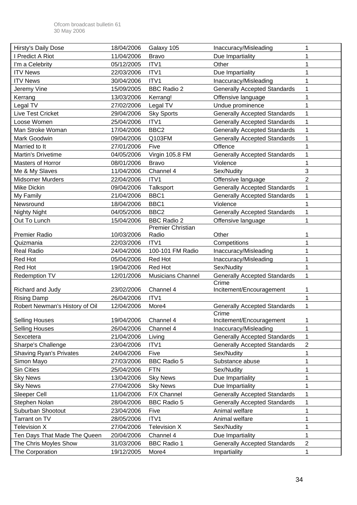| <b>Hirsty's Daily Dose</b>     | 18/04/2006 | Galaxy 105               | Inaccuracy/Misleading               |                |
|--------------------------------|------------|--------------------------|-------------------------------------|----------------|
| I Predict A Riot               | 11/04/2006 | <b>Bravo</b>             | Due Impartiality                    |                |
| I'm a Celebrity                | 05/12/2005 | ITV1                     | Other                               |                |
| <b>ITV News</b>                | 22/03/2006 | ITV1                     | Due Impartiality                    |                |
| <b>ITV News</b>                | 30/04/2006 | ITV1                     | Inaccuracy/Misleading               |                |
| Jeremy Vine                    | 15/09/2005 | <b>BBC Radio 2</b>       | <b>Generally Accepted Standards</b> |                |
| Kerrang                        | 13/03/2006 | Kerrang!                 | Offensive language                  |                |
| Legal TV                       | 27/02/2006 | Legal TV                 | Undue prominence                    |                |
| Live Test Cricket              | 29/04/2006 | <b>Sky Sports</b>        | <b>Generally Accepted Standards</b> | 1              |
| Loose Women                    | 25/04/2006 | ITV1                     | <b>Generally Accepted Standards</b> |                |
| Man Stroke Woman               | 17/04/2006 | BBC <sub>2</sub>         | <b>Generally Accepted Standards</b> |                |
| Mark Goodwin                   | 09/04/2006 | Q103FM                   | <b>Generally Accepted Standards</b> | 1              |
| Married to It                  | 27/01/2006 | Five                     | Offence                             |                |
| Martin's Drivetime             | 04/05/2006 | Virgin 105.8 FM          | <b>Generally Accepted Standards</b> |                |
| Masters of Horror              | 08/01/2006 | <b>Bravo</b>             | Violence                            |                |
| Me & My Slaves                 | 11/04/2006 | Channel 4                | Sex/Nudity                          | 3              |
| <b>Midsomer Murders</b>        | 22/04/2006 | ITV1                     | Offensive language                  | $\overline{2}$ |
| Mike Dickin                    | 09/04/2006 | Talksport                | <b>Generally Accepted Standards</b> |                |
| My Family                      | 21/04/2006 | BBC1                     | <b>Generally Accepted Standards</b> |                |
| Newsround                      | 18/04/2006 | BBC1                     | Violence                            |                |
| Nighty Night                   | 04/05/2006 | BBC <sub>2</sub>         | <b>Generally Accepted Standards</b> |                |
| Out To Lunch                   | 15/04/2006 | <b>BBC Radio 2</b>       | Offensive language                  |                |
|                                |            | Premier Christian        |                                     |                |
| Premier Radio                  | 10/03/2006 | Radio                    | Other                               |                |
| Quizmania                      | 22/03/2006 | ITV1                     | Competitions                        |                |
| Real Radio                     | 24/04/2006 | 100-101 FM Radio         | Inaccuracy/Misleading               |                |
| <b>Red Hot</b>                 | 05/04/2006 | Red Hot                  | Inaccuracy/Misleading               |                |
| Red Hot                        | 19/04/2006 | Red Hot                  | Sex/Nudity                          |                |
| Redemption TV                  | 12/01/2006 | <b>Musicians Channel</b> | <b>Generally Accepted Standards</b> | 1              |
|                                |            |                          | Crime                               |                |
| Richard and Judy               | 23/02/2006 | Channel 4                | Incitement/Encouragement            | 1              |
| <b>Rising Damp</b>             | 26/04/2006 | ITV1                     |                                     | 1              |
| Robert Newman's History of Oil | 12/04/2006 | More4                    | <b>Generally Accepted Standards</b> | 1              |
|                                |            |                          | Crime                               |                |
| <b>Selling Houses</b>          | 19/04/2006 | Channel 4                | Incitement/Encouragement            | 1              |
| <b>Selling Houses</b>          | 26/04/2006 | Channel 4                | Inaccuracy/Misleading               | 1              |
| Sexcetera                      | 21/04/2006 | Living                   | <b>Generally Accepted Standards</b> | 1              |
| Sharpe's Challenge             | 23/04/2006 | ITV1                     | <b>Generally Accepted Standards</b> | $\overline{2}$ |
| <b>Shaving Ryan's Privates</b> | 24/04/2006 | Five                     | Sex/Nudity                          | 1              |
| Simon Mayo                     | 27/03/2006 | <b>BBC Radio 5</b>       | Substance abuse                     |                |
| Sin Cities                     | 25/04/2006 | <b>FTN</b>               | Sex/Nudity                          |                |
| <b>Sky News</b>                | 13/04/2006 | <b>Sky News</b>          | Due Impartiality                    |                |
| <b>Sky News</b>                | 27/04/2006 | <b>Sky News</b>          | Due Impartiality                    |                |
| Sleeper Cell                   | 11/04/2006 | F/X Channel              | <b>Generally Accepted Standards</b> | 1              |
| Stephen Nolan                  | 28/04/2006 | <b>BBC Radio 5</b>       | <b>Generally Accepted Standards</b> |                |
| Suburban Shootout              | 23/04/2006 | Five                     | Animal welfare                      |                |
| Tarrant on TV                  | 28/05/2006 | ITV1                     | Animal welfare                      |                |
| <b>Television X</b>            | 27/04/2006 | <b>Television X</b>      | Sex/Nudity                          |                |
| Ten Days That Made The Queen   | 20/04/2006 | Channel 4                | Due Impartiality                    |                |
| The Chris Moyles Show          | 31/03/2006 | <b>BBC Radio 1</b>       | <b>Generally Accepted Standards</b> | $\overline{2}$ |
| The Corporation                | 19/12/2005 | More4                    | Impartiality                        | 1              |